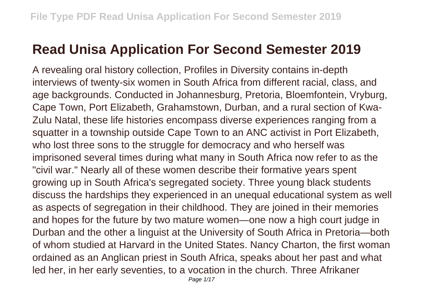## **Read Unisa Application For Second Semester 2019**

A revealing oral history collection, Profiles in Diversity contains in-depth interviews of twenty-six women in South Africa from different racial, class, and age backgrounds. Conducted in Johannesburg, Pretoria, Bloemfontein, Vryburg, Cape Town, Port Elizabeth, Grahamstown, Durban, and a rural section of Kwa-Zulu Natal, these life histories encompass diverse experiences ranging from a squatter in a township outside Cape Town to an ANC activist in Port Elizabeth, who lost three sons to the struggle for democracy and who herself was imprisoned several times during what many in South Africa now refer to as the "civil war." Nearly all of these women describe their formative years spent growing up in South Africa's segregated society. Three young black students discuss the hardships they experienced in an unequal educational system as well as aspects of segregation in their childhood. They are joined in their memories and hopes for the future by two mature women—one now a high court judge in Durban and the other a linguist at the University of South Africa in Pretoria—both of whom studied at Harvard in the United States. Nancy Charton, the first woman ordained as an Anglican priest in South Africa, speaks about her past and what led her, in her early seventies, to a vocation in the church. Three Afrikaner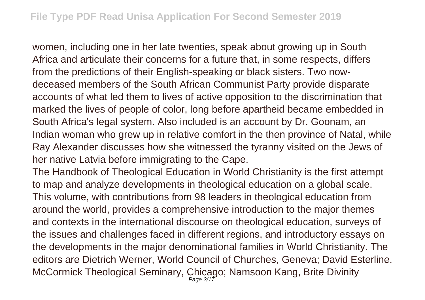women, including one in her late twenties, speak about growing up in South Africa and articulate their concerns for a future that, in some respects, differs from the predictions of their English-speaking or black sisters. Two nowdeceased members of the South African Communist Party provide disparate accounts of what led them to lives of active opposition to the discrimination that marked the lives of people of color, long before apartheid became embedded in South Africa's legal system. Also included is an account by Dr. Goonam, an Indian woman who grew up in relative comfort in the then province of Natal, while Ray Alexander discusses how she witnessed the tyranny visited on the Jews of her native Latvia before immigrating to the Cape.

The Handbook of Theological Education in World Christianity is the first attempt to map and analyze developments in theological education on a global scale. This volume, with contributions from 98 leaders in theological education from around the world, provides a comprehensive introduction to the major themes and contexts in the international discourse on theological education, surveys of the issues and challenges faced in different regions, and introductory essays on the developments in the major denominational families in World Christianity. The editors are Dietrich Werner, World Council of Churches, Geneva; David Esterline, McCormick Theological Seminary, Chicago; Namsoon Kang, Brite Divinity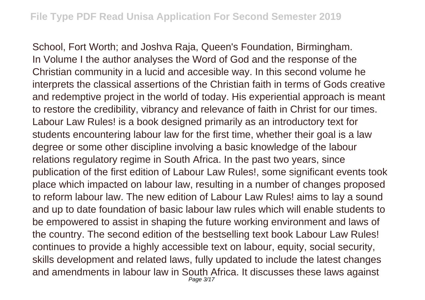School, Fort Worth; and Joshva Raja, Queen's Foundation, Birmingham. In Volume I the author analyses the Word of God and the response of the Christian community in a lucid and accesible way. In this second volume he interprets the classical assertions of the Christian faith in terms of Gods creative and redemptive project in the world of today. His experiential approach is meant to restore the credibility, vibrancy and relevance of faith in Christ for our times. Labour Law Rules! is a book designed primarily as an introductory text for students encountering labour law for the first time, whether their goal is a law degree or some other discipline involving a basic knowledge of the labour relations regulatory regime in South Africa. In the past two years, since publication of the first edition of Labour Law Rules!, some significant events took place which impacted on labour law, resulting in a number of changes proposed to reform labour law. The new edition of Labour Law Rules! aims to lay a sound and up to date foundation of basic labour law rules which will enable students to be empowered to assist in shaping the future working environment and laws of the country. The second edition of the bestselling text book Labour Law Rules! continues to provide a highly accessible text on labour, equity, social security, skills development and related laws, fully updated to include the latest changes and amendments in labour law in South Africa. It discusses these laws against Page 3/17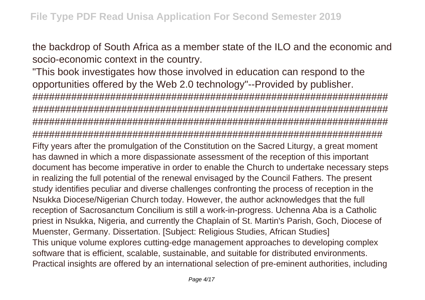the backdrop of South Africa as a member state of the ILO and the economic and socio-economic context in the country.

"This book investigates how those involved in education can respond to the opportunities offered by the Web 2.0 technology"--Provided by publisher. ################################################################ ################################################################ ################################################################ ############################################################### Fifty years after the promulgation of the Constitution on the Sacred Liturgy, a great moment has dawned in which a more dispassionate assessment of the reception of this important document has become imperative in order to enable the Church to undertake necessary steps in realizing the full potential of the renewal envisaged by the Council Fathers. The present study identifies peculiar and diverse challenges confronting the process of reception in the Nsukka Diocese/Nigerian Church today. However, the author acknowledges that the full reception of Sacrosanctum Concilium is still a work-in-progress. Uchenna Aba is a Catholic priest in Nsukka, Nigeria, and currently the Chaplain of St. Martin's Parish, Goch, Diocese of Muenster, Germany. Dissertation. [Subject: Religious Studies, African Studies] This unique volume explores cutting-edge management approaches to developing complex software that is efficient, scalable, sustainable, and suitable for distributed environments. Practical insights are offered by an international selection of pre-eminent authorities, including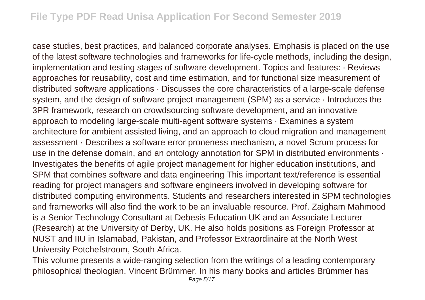case studies, best practices, and balanced corporate analyses. Emphasis is placed on the use of the latest software technologies and frameworks for life-cycle methods, including the design, implementation and testing stages of software development. Topics and features: · Reviews approaches for reusability, cost and time estimation, and for functional size measurement of distributed software applications · Discusses the core characteristics of a large-scale defense system, and the design of software project management (SPM) as a service · Introduces the 3PR framework, research on crowdsourcing software development, and an innovative approach to modeling large-scale multi-agent software systems · Examines a system architecture for ambient assisted living, and an approach to cloud migration and management assessment · Describes a software error proneness mechanism, a novel Scrum process for use in the defense domain, and an ontology annotation for SPM in distributed environments  $\cdot$ Investigates the benefits of agile project management for higher education institutions, and SPM that combines software and data engineering This important text/reference is essential reading for project managers and software engineers involved in developing software for distributed computing environments. Students and researchers interested in SPM technologies and frameworks will also find the work to be an invaluable resource. Prof. Zaigham Mahmood is a Senior Technology Consultant at Debesis Education UK and an Associate Lecturer (Research) at the University of Derby, UK. He also holds positions as Foreign Professor at NUST and IIU in Islamabad, Pakistan, and Professor Extraordinaire at the North West University Potchefstroom, South Africa.

This volume presents a wide-ranging selection from the writings of a leading contemporary philosophical theologian, Vincent Brümmer. In his many books and articles Brümmer has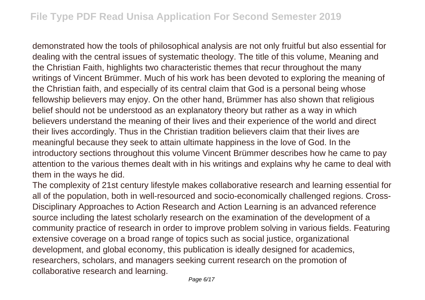demonstrated how the tools of philosophical analysis are not only fruitful but also essential for dealing with the central issues of systematic theology. The title of this volume, Meaning and the Christian Faith, highlights two characteristic themes that recur throughout the many writings of Vincent Brümmer. Much of his work has been devoted to exploring the meaning of the Christian faith, and especially of its central claim that God is a personal being whose fellowship believers may enjoy. On the other hand, Brümmer has also shown that religious belief should not be understood as an explanatory theory but rather as a way in which believers understand the meaning of their lives and their experience of the world and direct their lives accordingly. Thus in the Christian tradition believers claim that their lives are meaningful because they seek to attain ultimate happiness in the love of God. In the introductory sections throughout this volume Vincent Brümmer describes how he came to pay attention to the various themes dealt with in his writings and explains why he came to deal with them in the ways he did.

The complexity of 21st century lifestyle makes collaborative research and learning essential for all of the population, both in well-resourced and socio-economically challenged regions. Cross-Disciplinary Approaches to Action Research and Action Learning is an advanced reference source including the latest scholarly research on the examination of the development of a community practice of research in order to improve problem solving in various fields. Featuring extensive coverage on a broad range of topics such as social justice, organizational development, and global economy, this publication is ideally designed for academics, researchers, scholars, and managers seeking current research on the promotion of collaborative research and learning.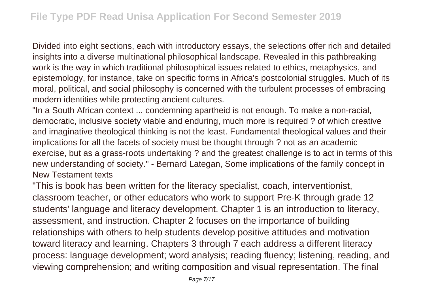Divided into eight sections, each with introductory essays, the selections offer rich and detailed insights into a diverse multinational philosophical landscape. Revealed in this pathbreaking work is the way in which traditional philosophical issues related to ethics, metaphysics, and epistemology, for instance, take on specific forms in Africa's postcolonial struggles. Much of its moral, political, and social philosophy is concerned with the turbulent processes of embracing modern identities while protecting ancient cultures.

"In a South African context ... condemning apartheid is not enough. To make a non-racial, democratic, inclusive society viable and enduring, much more is required ? of which creative and imaginative theological thinking is not the least. Fundamental theological values and their implications for all the facets of society must be thought through ? not as an academic exercise, but as a grass-roots undertaking ? and the greatest challenge is to act in terms of this new understanding of society." - Bernard Lategan, Some implications of the family concept in New Testament texts

"This is book has been written for the literacy specialist, coach, interventionist, classroom teacher, or other educators who work to support Pre-K through grade 12 students' language and literacy development. Chapter 1 is an introduction to literacy, assessment, and instruction. Chapter 2 focuses on the importance of building relationships with others to help students develop positive attitudes and motivation toward literacy and learning. Chapters 3 through 7 each address a different literacy process: language development; word analysis; reading fluency; listening, reading, and viewing comprehension; and writing composition and visual representation. The final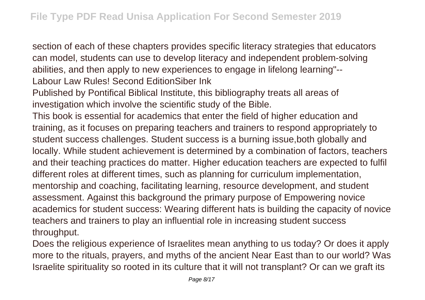section of each of these chapters provides specific literacy strategies that educators can model, students can use to develop literacy and independent problem-solving abilities, and then apply to new experiences to engage in lifelong learning"-- Labour Law Rules! Second EditionSiber Ink

Published by Pontifical Biblical Institute, this bibliography treats all areas of investigation which involve the scientific study of the Bible.

This book is essential for academics that enter the field of higher education and training, as it focuses on preparing teachers and trainers to respond appropriately to student success challenges. Student success is a burning issue,both globally and locally. While student achievement is determined by a combination of factors, teachers and their teaching practices do matter. Higher education teachers are expected to fulfil different roles at different times, such as planning for curriculum implementation, mentorship and coaching, facilitating learning, resource development, and student assessment. Against this background the primary purpose of Empowering novice academics for student success: Wearing different hats is building the capacity of novice teachers and trainers to play an influential role in increasing student success throughput.

Does the religious experience of Israelites mean anything to us today? Or does it apply more to the rituals, prayers, and myths of the ancient Near East than to our world? Was Israelite spirituality so rooted in its culture that it will not transplant? Or can we graft its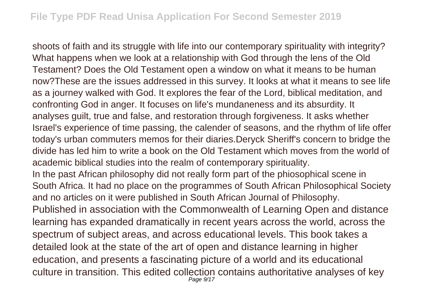shoots of faith and its struggle with life into our contemporary spirituality with integrity? What happens when we look at a relationship with God through the lens of the Old Testament? Does the Old Testament open a window on what it means to be human now?These are the issues addressed in this survey. It looks at what it means to see life as a journey walked with God. It explores the fear of the Lord, biblical meditation, and confronting God in anger. It focuses on life's mundaneness and its absurdity. It analyses guilt, true and false, and restoration through forgiveness. It asks whether Israel's experience of time passing, the calender of seasons, and the rhythm of life offer today's urban commuters memos for their diaries.Deryck Sheriff's concern to bridge the divide has led him to write a book on the Old Testament which moves from the world of academic biblical studies into the realm of contemporary spirituality. In the past African philosophy did not really form part of the phiosophical scene in South Africa. It had no place on the programmes of South African Philosophical Society and no articles on it were published in South African Journal of Philosophy. Published in association with the Commonwealth of Learning Open and distance learning has expanded dramatically in recent years across the world, across the spectrum of subject areas, and across educational levels. This book takes a detailed look at the state of the art of open and distance learning in higher education, and presents a fascinating picture of a world and its educational culture in transition. This edited collection contains authoritative analyses of key Page 9/17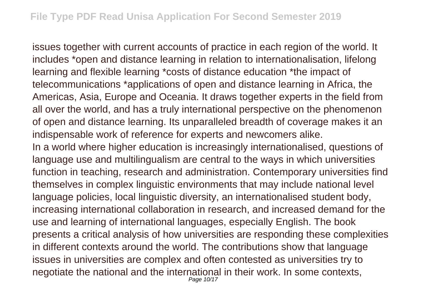issues together with current accounts of practice in each region of the world. It includes \*open and distance learning in relation to internationalisation, lifelong learning and flexible learning \*costs of distance education \*the impact of telecommunications \*applications of open and distance learning in Africa, the Americas, Asia, Europe and Oceania. It draws together experts in the field from all over the world, and has a truly international perspective on the phenomenon of open and distance learning. Its unparalleled breadth of coverage makes it an indispensable work of reference for experts and newcomers alike.

In a world where higher education is increasingly internationalised, questions of language use and multilingualism are central to the ways in which universities function in teaching, research and administration. Contemporary universities find themselves in complex linguistic environments that may include national level language policies, local linguistic diversity, an internationalised student body, increasing international collaboration in research, and increased demand for the use and learning of international languages, especially English. The book presents a critical analysis of how universities are responding these complexities in different contexts around the world. The contributions show that language issues in universities are complex and often contested as universities try to negotiate the national and the international in their work. In some contexts, Page 10/17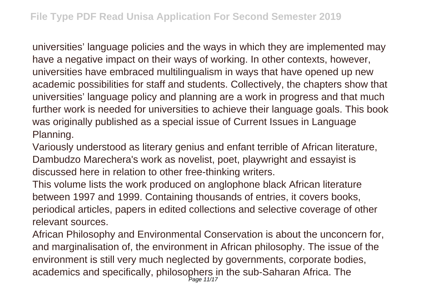universities' language policies and the ways in which they are implemented may have a negative impact on their ways of working. In other contexts, however, universities have embraced multilingualism in ways that have opened up new academic possibilities for staff and students. Collectively, the chapters show that universities' language policy and planning are a work in progress and that much further work is needed for universities to achieve their language goals. This book was originally published as a special issue of Current Issues in Language Planning.

Variously understood as literary genius and enfant terrible of African literature, Dambudzo Marechera's work as novelist, poet, playwright and essayist is discussed here in relation to other free-thinking writers.

This volume lists the work produced on anglophone black African literature between 1997 and 1999. Containing thousands of entries, it covers books, periodical articles, papers in edited collections and selective coverage of other relevant sources.

African Philosophy and Environmental Conservation is about the unconcern for, and marginalisation of, the environment in African philosophy. The issue of the environment is still very much neglected by governments, corporate bodies, academics and specifically, philosophers in the sub-Saharan Africa. The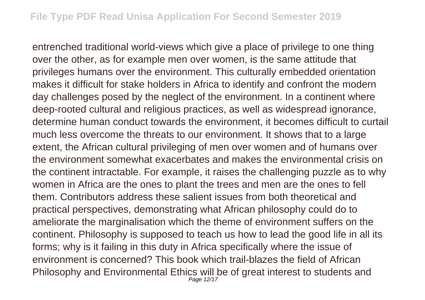entrenched traditional world-views which give a place of privilege to one thing over the other, as for example men over women, is the same attitude that privileges humans over the environment. This culturally embedded orientation makes it difficult for stake holders in Africa to identify and confront the modern day challenges posed by the neglect of the environment. In a continent where deep-rooted cultural and religious practices, as well as widespread ignorance, determine human conduct towards the environment, it becomes difficult to curtail much less overcome the threats to our environment. It shows that to a large extent, the African cultural privileging of men over women and of humans over the environment somewhat exacerbates and makes the environmental crisis on the continent intractable. For example, it raises the challenging puzzle as to why women in Africa are the ones to plant the trees and men are the ones to fell them. Contributors address these salient issues from both theoretical and practical perspectives, demonstrating what African philosophy could do to ameliorate the marginalisation which the theme of environment suffers on the continent. Philosophy is supposed to teach us how to lead the good life in all its forms; why is it failing in this duty in Africa specifically where the issue of environment is concerned? This book which trail-blazes the field of African Philosophy and Environmental Ethics will be of great interest to students and Page 12/17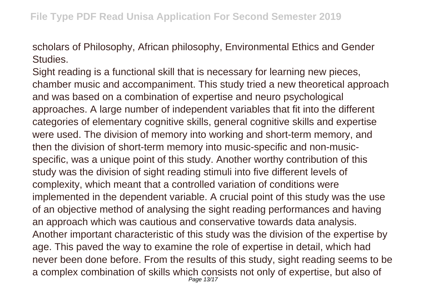scholars of Philosophy, African philosophy, Environmental Ethics and Gender Studies.

Sight reading is a functional skill that is necessary for learning new pieces, chamber music and accompaniment. This study tried a new theoretical approach and was based on a combination of expertise and neuro psychological approaches. A large number of independent variables that fit into the different categories of elementary cognitive skills, general cognitive skills and expertise were used. The division of memory into working and short-term memory, and then the division of short-term memory into music-specific and non-musicspecific, was a unique point of this study. Another worthy contribution of this study was the division of sight reading stimuli into five different levels of complexity, which meant that a controlled variation of conditions were implemented in the dependent variable. A crucial point of this study was the use of an objective method of analysing the sight reading performances and having an approach which was cautious and conservative towards data analysis. Another important characteristic of this study was the division of the expertise by age. This paved the way to examine the role of expertise in detail, which had never been done before. From the results of this study, sight reading seems to be a complex combination of skills which consists not only of expertise, but also of Page 13/17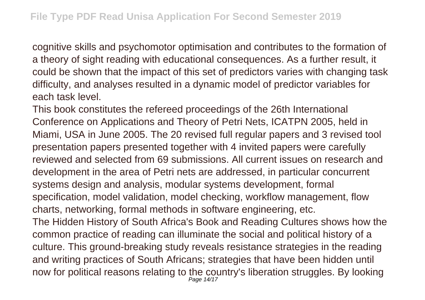cognitive skills and psychomotor optimisation and contributes to the formation of a theory of sight reading with educational consequences. As a further result, it could be shown that the impact of this set of predictors varies with changing task difficulty, and analyses resulted in a dynamic model of predictor variables for each task level.

This book constitutes the refereed proceedings of the 26th International Conference on Applications and Theory of Petri Nets, ICATPN 2005, held in Miami, USA in June 2005. The 20 revised full regular papers and 3 revised tool presentation papers presented together with 4 invited papers were carefully reviewed and selected from 69 submissions. All current issues on research and development in the area of Petri nets are addressed, in particular concurrent systems design and analysis, modular systems development, formal specification, model validation, model checking, workflow management, flow charts, networking, formal methods in software engineering, etc. The Hidden History of South Africa's Book and Reading Cultures shows how the common practice of reading can illuminate the social and political history of a culture. This ground-breaking study reveals resistance strategies in the reading and writing practices of South Africans; strategies that have been hidden until now for political reasons relating to the country's liberation struggles. By looking Page 14/17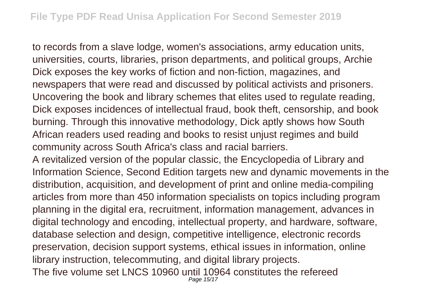to records from a slave lodge, women's associations, army education units, universities, courts, libraries, prison departments, and political groups, Archie Dick exposes the key works of fiction and non-fiction, magazines, and newspapers that were read and discussed by political activists and prisoners. Uncovering the book and library schemes that elites used to regulate reading, Dick exposes incidences of intellectual fraud, book theft, censorship, and book burning. Through this innovative methodology, Dick aptly shows how South African readers used reading and books to resist unjust regimes and build community across South Africa's class and racial barriers.

A revitalized version of the popular classic, the Encyclopedia of Library and Information Science, Second Edition targets new and dynamic movements in the distribution, acquisition, and development of print and online media-compiling articles from more than 450 information specialists on topics including program planning in the digital era, recruitment, information management, advances in digital technology and encoding, intellectual property, and hardware, software, database selection and design, competitive intelligence, electronic records preservation, decision support systems, ethical issues in information, online library instruction, telecommuting, and digital library projects. The five volume set LNCS 10960 until 10964 constitutes the refereed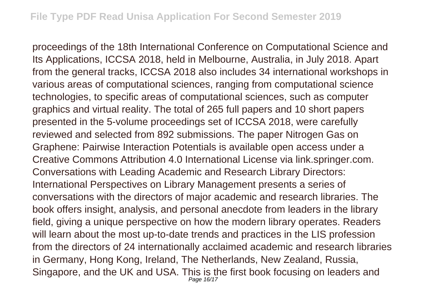proceedings of the 18th International Conference on Computational Science and Its Applications, ICCSA 2018, held in Melbourne, Australia, in July 2018. Apart from the general tracks, ICCSA 2018 also includes 34 international workshops in various areas of computational sciences, ranging from computational science technologies, to specific areas of computational sciences, such as computer graphics and virtual reality. The total of 265 full papers and 10 short papers presented in the 5-volume proceedings set of ICCSA 2018, were carefully reviewed and selected from 892 submissions. The paper Nitrogen Gas on Graphene: Pairwise Interaction Potentials is available open access under a Creative Commons Attribution 4.0 International License via link.springer.com. Conversations with Leading Academic and Research Library Directors: International Perspectives on Library Management presents a series of conversations with the directors of major academic and research libraries. The book offers insight, analysis, and personal anecdote from leaders in the library field, giving a unique perspective on how the modern library operates. Readers will learn about the most up-to-date trends and practices in the LIS profession from the directors of 24 internationally acclaimed academic and research libraries in Germany, Hong Kong, Ireland, The Netherlands, New Zealand, Russia, Singapore, and the UK and USA. This is the first book focusing on leaders and Page 16/17